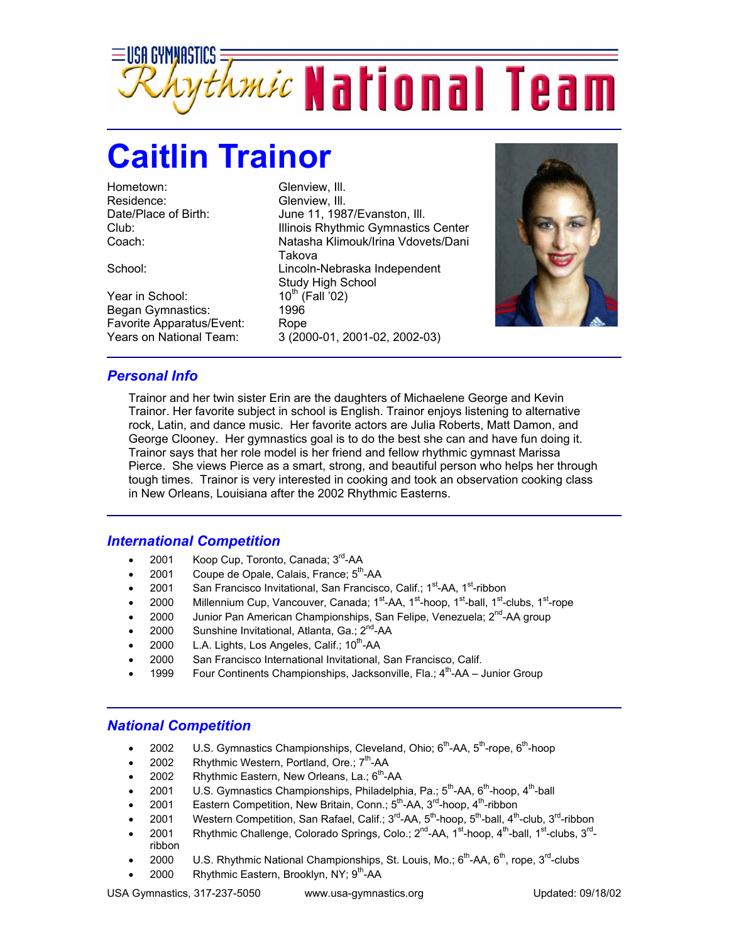

## **Caitlin Trainor**

Hometown: Glenview, III. Residence: Glenview, III.

Year in School: Began Gymnastics: 1996 Favorite Apparatus/Event: Rope

Date/Place of Birth: June 11, 1987/Evanston, Ill. Club: Illinois Rhythmic Gymnastics Center Coach: Natasha Klimouk/Irina Vdovets/Dani Takova School: Lincoln-Nebraska Independent Study High School<br>10<sup>th</sup> (Fall '02) Years on National Team: 3 (2000-01, 2001-02, 2002-03)



## *Personal Info*

Trainor and her twin sister Erin are the daughters of Michaelene George and Kevin Trainor. Her favorite subject in school is English. Trainor enjoys listening to alternative rock, Latin, and dance music. Her favorite actors are Julia Roberts, Matt Damon, and George Clooney. Her gymnastics goal is to do the best she can and have fun doing it. Trainor says that her role model is her friend and fellow rhythmic gymnast Marissa Pierce. She views Pierce as a smart, strong, and beautiful person who helps her through tough times. Trainor is very interested in cooking and took an observation cooking class in New Orleans, Louisiana after the 2002 Rhythmic Easterns.

## *International Competition*

- 2001 Koop Cup, Toronto, Canada; 3<sup>rd</sup>-AA
- 2001 Coupe de Opale, Calais, France; 5<sup>th</sup>-AA
- 2001 San Francisco Invitational, San Francisco, Calif.; 1<sup>st</sup>-AA, 1<sup>st</sup>-ribbon
- 2000 Millennium Cup, Vancouver, Canada;  $1<sup>st</sup>$ -AA,  $1<sup>st</sup>$ -hoop,  $1<sup>st</sup>$ -ball,  $1<sup>st</sup>$ -clubs,  $1<sup>st</sup>$ -rope
- 2000 Junior Pan American Championships, San Felipe, Venezuela;  $2^{nd}$ -AA group
- 2000 Sunshine Invitational, Atlanta, Ga.;  $2^{nd}$ -AA
- 2000 L.A. Lights, Los Angeles, Calif.; 10<sup>th</sup>-AA
- 2000 San Francisco International Invitational, San Francisco, Calif.
- 1999 Four Continents Championships, Jacksonville, Fla.;  $4^{th}$ -AA Junior Group

## *National Competition*

- 2002 U.S. Gymnastics Championships, Cleveland, Ohio;  $6^{th}$ -AA,  $5^{th}$ -rope,  $6^{th}$ -hoop
- 2002 Rhythmic Western, Portland, Ore.; 7<sup>th</sup>-AA
- 2002 Rhythmic Eastern, New Orleans, La.;  $6<sup>th</sup>$ -AA
- 2001 U.S. Gymnastics Championships, Philadelphia, Pa.;  $5^{th}$ -AA,  $6^{th}$ -hoop,  $4^{th}$ -ball
- 2001 Eastern Competition, New Britain, Conn.;  $5<sup>th</sup>$ -AA,  $3<sup>rd</sup>$ -hoop,  $4<sup>th</sup>$ -ribbon
- 2001 Western Competition, San Rafael, Calif.;  $3^{rd}$ -AA,  $5^{th}$ -hoop,  $5^{th}$ -ball,  $4^{th}$ -club,  $3^{rd}$ -ribbon
- 2001 Rhythmic Challenge, Colorado Springs, Colo.;  $2^{nd}$ -AA,  $1^{st}$ -hoop,  $4^{th}$ -ball,  $1^{st}$ -clubs,  $3^{rd}$ ribbon
- 2000 U.S. Rhythmic National Championships, St. Louis, Mo.; 6<sup>th</sup>-AA, 6<sup>th</sup>, rope, 3<sup>rd</sup>-clubs
- 2000 Rhythmic Eastern, Brooklyn, NY; 9<sup>th</sup>-AA